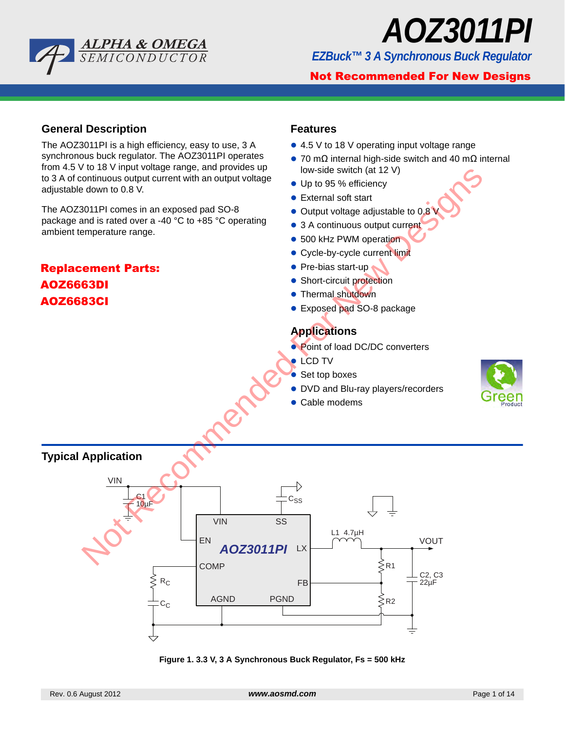**Not Recommended For New Designs** 

**Replacement Parts: AOZ6663DI AOZ6683CI**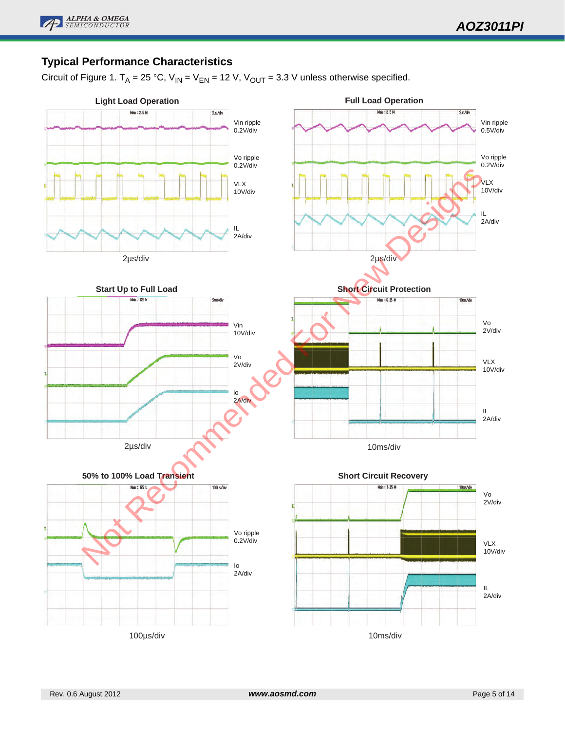

# **Typical Performance Characteristics**

Circuit of Figure 1.  $T_A = 25 °C$ ,  $V_{IN} = V_{EN} = 12 V$ ,  $V_{OUT} = 3.3 V$  unless otherwise specified.

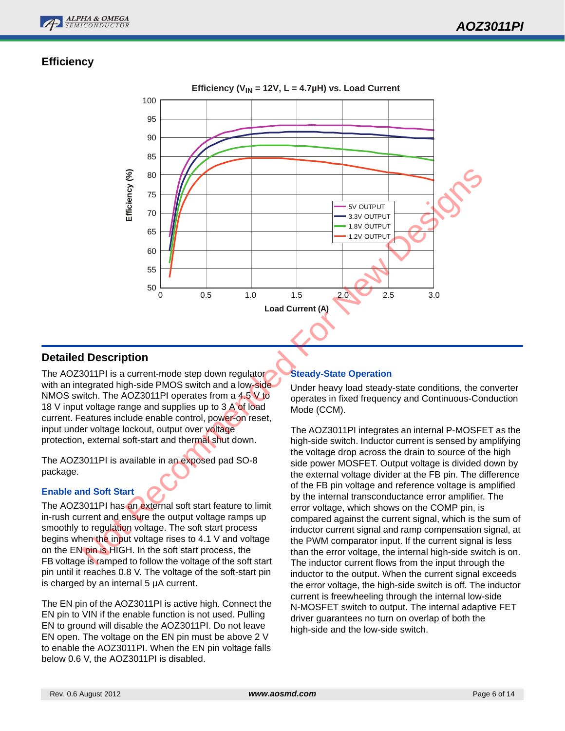

# **Efficiency**



### **Detailed Description**

The AOZ3011PI is a current-mode step down regulator with an integrated high-side PMOS switch and a low-side NMOS switch. The AOZ3011PI operates from a 4.5 V to 18 V input voltage range and supplies up to 3 A of load current. Features include enable control, power-on reset, input under voltage lockout, output over voltage protection, external soft-start and thermal shut down.

The AOZ3011PI is available in an exposed pad SO-8 package.

#### **Enable and Soft Start**

The AOZ3011PI has an external soft start feature to limit in-rush current and ensure the output voltage ramps up smoothly to regulation voltage. The soft start process begins when the input voltage rises to 4.1 V and voltage on the EN pin is HIGH. In the soft start process, the FB voltage is ramped to follow the voltage of the soft start pin until it reaches 0.8 V. The voltage of the soft-start pin is charged by an internal 5 µA current.

The EN pin of the AOZ3011PI is active high. Connect the EN pin to VIN if the enable function is not used. Pulling EN to ground will disable the AOZ3011PI. Do not leave EN open. The voltage on the EN pin must be above 2 V to enable the AOZ3011PI. When the EN pin voltage falls below 0.6 V, the AOZ3011PI is disabled.

### **Steady-State Operation**

Under heavy load steady-state conditions, the converter operates in fixed frequency and Continuous-Conduction Mode (CCM).

The AOZ3011PI integrates an internal P-MOSFET as the high-side switch. Inductor current is sensed by amplifying the voltage drop across the drain to source of the high side power MOSFET. Output voltage is divided down by the external voltage divider at the FB pin. The difference of the FB pin voltage and reference voltage is amplified by the internal transconductance error amplifier. The error voltage, which shows on the COMP pin, is compared against the current signal, which is the sum of inductor current signal and ramp compensation signal, at the PWM comparator input. If the current signal is less than the error voltage, the internal high-side switch is on. The inductor current flows from the input through the inductor to the output. When the current signal exceeds the error voltage, the high-side switch is off. The inductor current is freewheeling through the internal low-side N-MOSFET switch to output. The internal adaptive FET driver guarantees no turn on overlap of both the high-side and the low-side switch.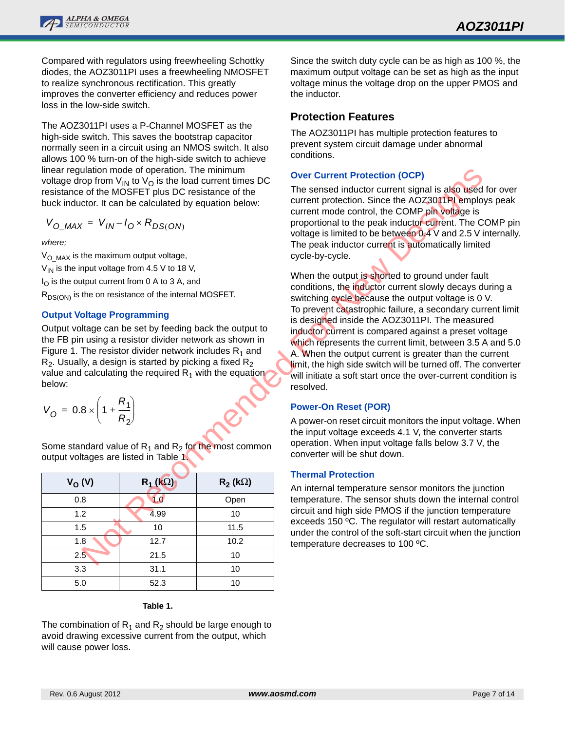

Compared with regulators using freewheeling Schottky diodes, the AOZ3011PI uses a freewheeling NMOSFET to realize synchronous rectification. This greatly improves the converter efficiency and reduces power loss in the low-side switch.

The AOZ3011PI uses a P-Channel MOSFET as the high-side switch. This saves the bootstrap capacitor normally seen in a circuit using an NMOS switch. It also allows 100 % turn-on of the high-side switch to achieve linear regulation mode of operation. The minimum voltage drop from  $V_{\text{IN}}$  to  $V_{\text{O}}$  is the load current times DC resistance of the MOSFET plus DC resistance of the buck inductor. It can be calculated by equation below:

$$
V_{O\_MAX} = V_{IN} - I_O \times R_{DS(ON)}
$$

*where;*

 $V_{\text{O}~\text{MAX}}$  is the maximum output voltage,  $V_{1N}$  is the input voltage from 4.5 V to 18 V,  $I_{\Omega}$  is the output current from 0 A to 3 A, and  $R_{DS(ON)}$  is the on resistance of the internal MOSFET.

### **Output Voltage Programming**

Output voltage can be set by feeding back the output to the FB pin using a resistor divider network as shown in Figure 1. The resistor divider network includes  $R_1$  and  $R<sub>2</sub>$ . Usually, a design is started by picking a fixed  $R<sub>2</sub>$ value and calculating the required  $R_1$  with the equation below:

| $V_{O} = 0.8 \times \left(1 + \frac{R_{1}}{R_{2}}\right)$ |  |  |
|-----------------------------------------------------------|--|--|
|-----------------------------------------------------------|--|--|

Some standard value of  $R_1$  and  $R_2$  for the most common output voltages are listed in Table 1.

| $V_{O}(V)$    | $R_1$ (kΩ) | $R_2$ (k $\Omega$ ) |
|---------------|------------|---------------------|
| 0.8           | 1.0        | Open                |
| 1.2           | 4.99       | 10                  |
| 1.5           | 10         | 11.5                |
| 1.8           | 12.7       | 10.2                |
| $2.5^{\circ}$ | 21.5       | 10                  |
| 3.3           | 31.1       | 10                  |
| 5.0           | 52.3       | 10                  |

#### **Table 1.**

The combination of  $R_1$  and  $R_2$  should be large enough to avoid drawing excessive current from the output, which will cause power loss.

Since the switch duty cycle can be as high as 100 %, the maximum output voltage can be set as high as the input voltage minus the voltage drop on the upper PMOS and the inductor.

### **Protection Features**

The AOZ3011PI has multiple protection features to prevent system circuit damage under abnormal conditions.

#### **Over Current Protection (OCP)**

The sensed inductor current signal is also used for over current protection. Since the AOZ3011PI employs peak current mode control, the COMP pin voltage is proportional to the peak inductor current. The COMP pin voltage is limited to be between 0.4 V and 2.5 V internally. The peak inductor current is automatically limited cycle-by-cycle.

When the output is shorted to ground under fault conditions, the inductor current slowly decays during a switching cycle because the output voltage is 0 V. To prevent catastrophic failure, a secondary current limit is designed inside the AOZ3011PI. The measured inductor current is compared against a preset voltage which represents the current limit, between 3.5 A and 5.0 A. When the output current is greater than the current limit, the high side switch will be turned off. The converter will initiate a soft start once the over-current condition is resolved. Ulation mode of the MoSEV and Ulation control of the MoSEV and the peak include the second of the second of the Second to the MoSEV and the MoSEV and the MoSEV and the MoSEV and the MoSEV and the most include the second i

### **Power-On Reset (POR)**

A power-on reset circuit monitors the input voltage. When the input voltage exceeds 4.1 V, the converter starts operation. When input voltage falls below 3.7 V, the converter will be shut down.

### **Thermal Protection**

An internal temperature sensor monitors the junction temperature. The sensor shuts down the internal control circuit and high side PMOS if the junction temperature exceeds 150 ºC. The regulator will restart automatically under the control of the soft-start circuit when the junction temperature decreases to 100 ºC.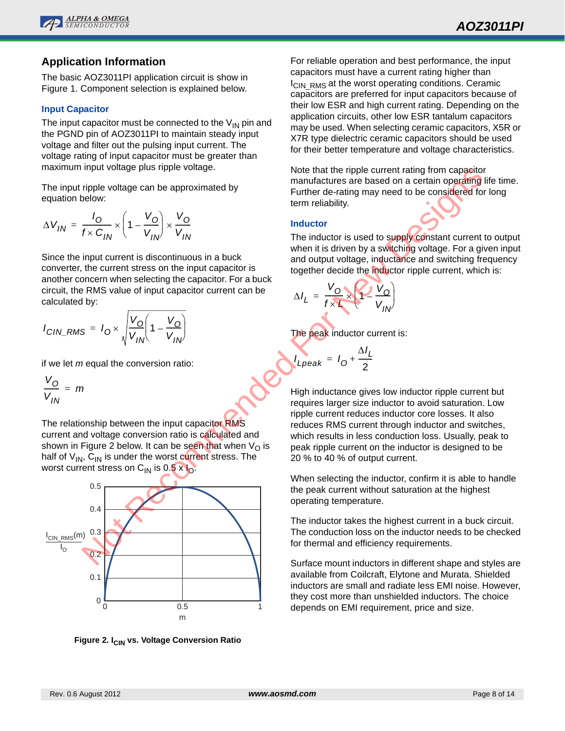

### **Application Information**

The basic AOZ3011PI application circuit is show in Figure 1. Component selection is explained below.

#### **Input Capacitor**

The input capacitor must be connected to the  $V_{IN}$  pin and the PGND pin of AOZ3011PI to maintain steady input voltage and filter out the pulsing input current. The voltage rating of input capacitor must be greater than maximum input voltage plus ripple voltage.

The input ripple voltage can be approximated by equation below:

$$
\Delta V_{IN} = \frac{I_O}{f \times C_{IN}} \times \left(1 - \frac{V_O}{V_{IN}}\right) \times \frac{V_O}{V_{IN}}
$$

Since the input current is discontinuous in a buck converter, the current stress on the input capacitor is another concern when selecting the capacitor. For a buck circuit, the RMS value of input capacitor current can be calculated by:

$$
I_{CIN\_RMS} = I_O \times \sqrt{\frac{V_O}{V_{IN}}} \left(1 - \frac{V_O}{V_{IN}}\right)
$$

if we let *m* equal the conversion ratio:

$$
\frac{V_O}{V_{IN}} = m
$$

The relationship between the input capacitor RMS current and voltage conversion ratio is calculated and shown in Figure 2 below. It can be seen that when  $V_{\Omega}$  is half of  $V_{1N}$ ,  $C_{1N}$  is under the worst current stress. The worst current stress on  $C_{1N}$  is 0.5 x  $C_{1N}$ .



**Figure 2. I<sub>CIN</sub> vs. Voltage Conversion Ratio** 

For reliable operation and best performance, the input capacitors must have a current rating higher than  $I_{\text{CIN-RMS}}$  at the worst operating conditions. Ceramic capacitors are preferred for input capacitors because of their low ESR and high current rating. Depending on the application circuits, other low ESR tantalum capacitors may be used. When selecting ceramic capacitors, X5R or X7R type dielectric ceramic capacitors should be used for their better temperature and voltage characteristics.

Note that the ripple current rating from capacitor manufactures are based on a certain operating life time. Further de-rating may need to be considered for long term reliability.

#### **Inductor**

The inductor is used to supply constant current to output when it is driven by a switching voltage. For a given input and output voltage, inductance and switching frequency together decide the inductor ripple current, which is:

$$
\Delta I_L = \frac{V_O}{f \times L} \sqrt{1 - \frac{V_O}{V_{IN}}}
$$

The peak inductor current is:

$$
L_{\text{peak}} = I_0 + \frac{\Delta I_L}{2}
$$

*I*

High inductance gives low inductor ripple current but requires larger size inductor to avoid saturation. Low ripple current reduces inductor core losses. It also reduces RMS current through inductor and switches, which results in less conduction loss. Usually, peak to peak ripple current on the inductor is designed to be 20 % to 40 % of output current.

When selecting the inductor, confirm it is able to handle the peak current without saturation at the highest operating temperature.

The inductor takes the highest current in a buck circuit. The conduction loss on the inductor needs to be checked for thermal and efficiency requirements.

Surface mount inductors in different shape and styles are available from Coilcraft, Elytone and Murata. Shielded inductors are small and radiate less EMI noise. However, they cost more than unshielded inductors. The choice depends on EMI requirement, price and size.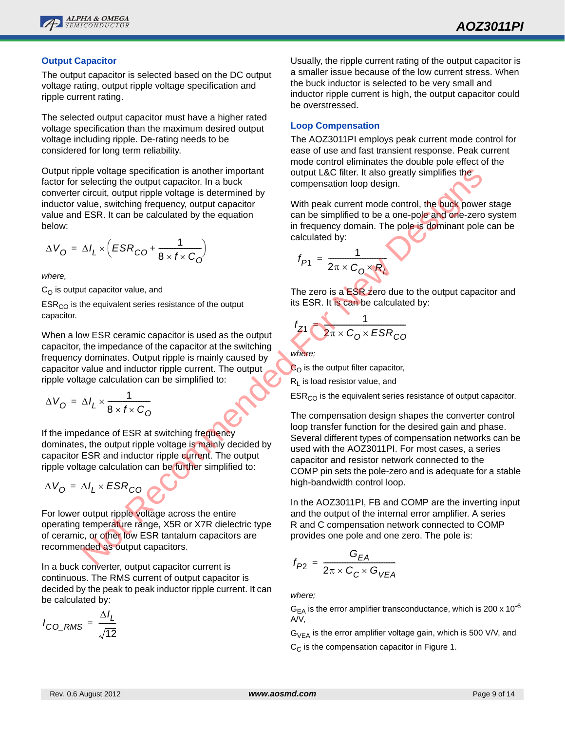

#### **Output Capacitor**

The output capacitor is selected based on the DC output voltage rating, output ripple voltage specification and ripple current rating.

The selected output capacitor must have a higher rated voltage specification than the maximum desired output voltage including ripple. De-rating needs to be considered for long term reliability.

Output ripple voltage specification is another important factor for selecting the output capacitor. In a buck converter circuit, output ripple voltage is determined by inductor value, switching frequency, output capacitor value and ESR. It can be calculated by the equation below:

$$
\Delta V_{\rm O} = \Delta I_L \times \left( ESR_{\rm CO} + \frac{1}{8 \times f \times C_{\rm O}} \right)
$$

*where,* 

 $C<sub>O</sub>$  is output capacitor value, and

 $ESR<sub>CO</sub>$  is the equivalent series resistance of the output capacitor.

When a low ESR ceramic capacitor is used as the output capacitor, the impedance of the capacitor at the switching frequency dominates. Output ripple is mainly caused by capacitor value and inductor ripple current. The output ripple voltage calculation can be simplified to:

$$
\Delta V_{\rm O} = \Delta I_L \times \frac{1}{8 \times f \times C_{\rm O}}
$$

If the impedance of ESR at switching frequency dominates, the output ripple voltage is mainly decided by capacitor ESR and inductor ripple current. The output ripple voltage calculation can be further simplified to:

$$
\Delta V_{\rm O} = \Delta I_L \times ESR_{\rm CO}
$$

For lower output ripple voltage across the entire operating temperature range, X5R or X7R dielectric type of ceramic, or other low ESR tantalum capacitors are recommended as output capacitors.

In a buck converter, output capacitor current is continuous. The RMS current of output capacitor is decided by the peak to peak inductor ripple current. It can be calculated by:

$$
I_{CO\_RMS} = \frac{\Delta I_L}{\sqrt{12}}
$$

Usually, the ripple current rating of the output capacitor is a smaller issue because of the low current stress. When the buck inductor is selected to be very small and inductor ripple current is high, the output capacitor could be overstressed.

#### **Loop Compensation**

The AOZ3011PI employs peak current mode control for ease of use and fast transient response. Peak current mode control eliminates the double pole effect of the output L&C filter. It also greatly simplifies the compensation loop design.

With peak current mode control, the buck power stage can be simplified to be a one-pole and one-zero system in frequency domain. The pole is dominant pole can be calculated by:

$$
f_{P1} = \frac{1}{2\pi \times C_0 \times R_1}
$$

The zero is a **ESR** zero due to the output capacitor and its ESR. It is can be calculated by:

$$
f_{Z1} \frac{1}{2\pi \times C_0 \times ESR_{CO}}
$$

*where;* 

 $C_{\Omega}$  is the output filter capacitor,

 $R<sub>L</sub>$  is load resistor value, and

 $ESR<sub>CO</sub>$  is the equivalent series resistance of output capacitor.

The compensation design shapes the converter control loop transfer function for the desired gain and phase. Several different types of compensation networks can be used with the AOZ3011PI. For most cases, a series capacitor and resistor network connected to the COMP pin sets the pole-zero and is adequate for a stable high-bandwidth control loop. by which is another inpendical solution is another inpendical solution is a compensation loop design.<br>
directing the output capacitor, has buck the compensation loop design.<br>
direction as extendined by the equation<br>  $\Lambda_L \$ 

In the AOZ3011PI, FB and COMP are the inverting input and the output of the internal error amplifier. A series R and C compensation network connected to COMP provides one pole and one zero. The pole is:

$$
f_{P2} = \frac{G_{EA}}{2\pi \times C_C \times G_{VEA}}
$$

*where;*

 $G_{EA}$  is the error amplifier transconductance, which is 200 x 10<sup>-6</sup> A/V,

 $G_{VFA}$  is the error amplifier voltage gain, which is 500 V/V, and  $C_{\text{C}}$  is the compensation capacitor in Figure 1.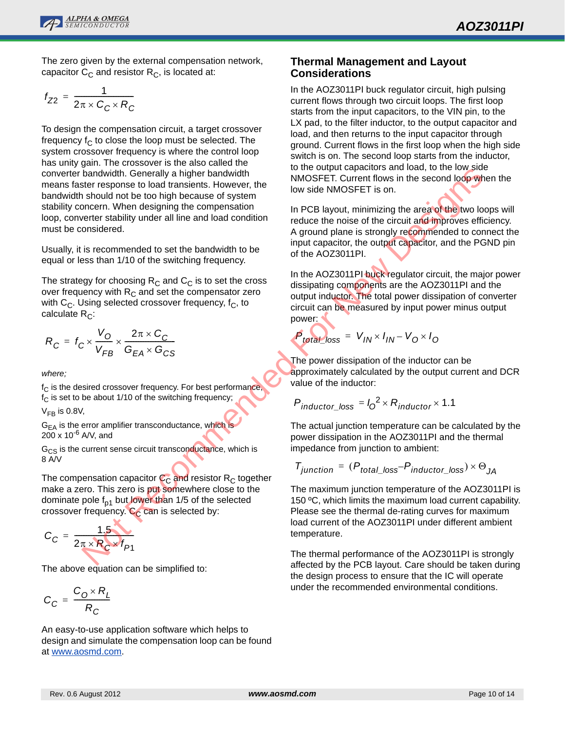

The zero given by the external compensation network, capacitor  $C_{\text{C}}$  and resistor  $R_{\text{C}}$ , is located at:

$$
f_{Z2} = \frac{1}{2\pi \times C_C \times R_C}
$$

To design the compensation circuit, a target crossover frequency  $f_C$  to close the loop must be selected. The system crossover frequency is where the control loop has unity gain. The crossover is the also called the converter bandwidth. Generally a higher bandwidth means faster response to load transients. However, the bandwidth should not be too high because of system stability concern. When designing the compensation loop, converter stability under all line and load condition must be considered. bandwidth. Generally a higher bandwidth is the dividend in the section of the bandwidth of the total band to the total band to the commended to set the bandwidth to be<br>
si a should hot be total bandwidth to be the bandwid

Usually, it is recommended to set the bandwidth to be equal or less than 1/10 of the switching frequency.

The strategy for choosing  $R_C$  and  $C_C$  is to set the cross over frequency with  $R<sub>C</sub>$  and set the compensator zero with  $C_C$ . Using selected crossover frequency,  $f_C$ , to calculate  $R_C$ :

$$
R_C = f_C \times \frac{V_O}{V_{FB}} \times \frac{2\pi \times C_C}{G_{EA} \times G_{CS}}
$$

*where;*

 $f_C$  is the desired crossover frequency. For best performance,  $f_C$  is set to be about 1/10 of the switching frequency;

 $V_{FB}$  is 0.8V,

 $G<sub>EA</sub>$  is the error amplifier transconductance, which is  $200 \times 10^{-6}$  A/V, and

 $G_{CS}$  is the current sense circuit transconductance, which is 8 A/V

The compensation capacitor  $C_{\rm C}$  and resistor R<sub>C</sub> together make a zero. This zero is put somewhere close to the dominate pole  $f_{p1}$  but lower than 1/5 of the selected crossover frequency.  $C_C$  can is selected by:

$$
C_C = \frac{1.5}{2\pi \times R_C \times f_{P1}}
$$

The above equation can be simplified to:

$$
C_C = \frac{C_0 \times R_L}{R_C}
$$

An easy-to-use application software which helps to design and simulate the compensation loop can be found at www.aosmd.com.

### **Thermal Management and Layout Considerations**

In the AOZ3011PI buck regulator circuit, high pulsing current flows through two circuit loops. The first loop starts from the input capacitors, to the VIN pin, to the LX pad, to the filter inductor, to the output capacitor and load, and then returns to the input capacitor through ground. Current flows in the first loop when the high side switch is on. The second loop starts from the inductor, to the output capacitors and load, to the low side NMOSFET. Current flows in the second loop when the low side NMOSFET is on.

In PCB layout, minimizing the area of the two loops will reduce the noise of the circuit and improves efficiency. A ground plane is strongly recommended to connect the input capacitor, the output capacitor, and the PGND pin of the AOZ3011PI.

In the AOZ3011PI buck regulator circuit, the major power dissipating components are the AOZ3011PI and the output inductor. The total power dissipation of converter circuit can be measured by input power minus output power:

$$
P_{total\_loss} = V_{IN} \times I_{IN} - V_0 \times I_0
$$

The power dissipation of the inductor can be approximately calculated by the output current and DCR value of the inductor:

$$
P_{inductor\_loss} = I_0^2 \times R_{inductor} \times 1.1
$$

The actual junction temperature can be calculated by the power dissipation in the AOZ3011PI and the thermal impedance from junction to ambient:

$$
T_{junction} = (P_{total\_loss} - P_{inductor\_loss}) \times \Theta_{JA}
$$

The maximum junction temperature of the AOZ3011PI is 150 ºC, which limits the maximum load current capability. Please see the thermal de-rating curves for maximum load current of the AOZ3011PI under different ambient temperature.

The thermal performance of the AOZ3011PI is strongly affected by the PCB layout. Care should be taken during the design process to ensure that the IC will operate under the recommended environmental conditions.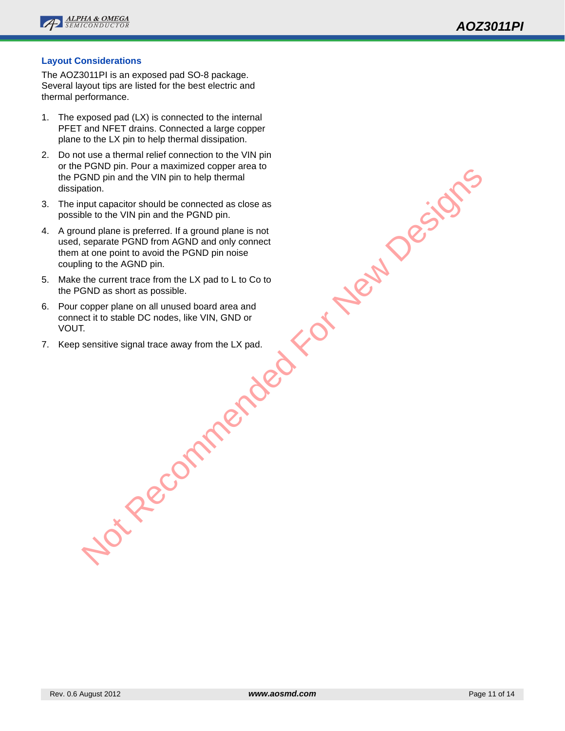

#### **Layout Considerations**

The AOZ3011PI is an exposed pad SO-8 package. Several layout tips are listed for the best electric and thermal performance.

- 1. The exposed pad (LX) is connected to the internal PFET and NFET drains. Connected a large copper plane to the LX pin to help thermal dissipation.
- 2. Do not use a thermal relief connection to the VIN pin or the PGND pin. Pour a maximized copper area to the PGND pin and the VIN pin to help thermal dissipation.
- 3. The input capacitor should be connected as close as possible to the VIN pin and the PGND pin.
- 4. A ground plane is preferred. If a ground plane is not used, separate PGND from AGND and only connect them at one point to avoid the PGND pin noise coupling to the AGND pin. Not Depin and the VIN pin to help thermal<br>ation.<br>The capacitor should be connected as close as<br>plus to the VIN pin and the PGND pin.<br>separate PGND from AGND and only connect<br>separate PGND from AGND and only connect<br>are poi
- 5. Make the current trace from the LX pad to L to Co to the PGND as short as possible.
- 6. Pour copper plane on all unused board area and connect it to stable DC nodes, like VIN, GND or VOUT.
- 7. Keep sensitive signal trace away from the LX pad.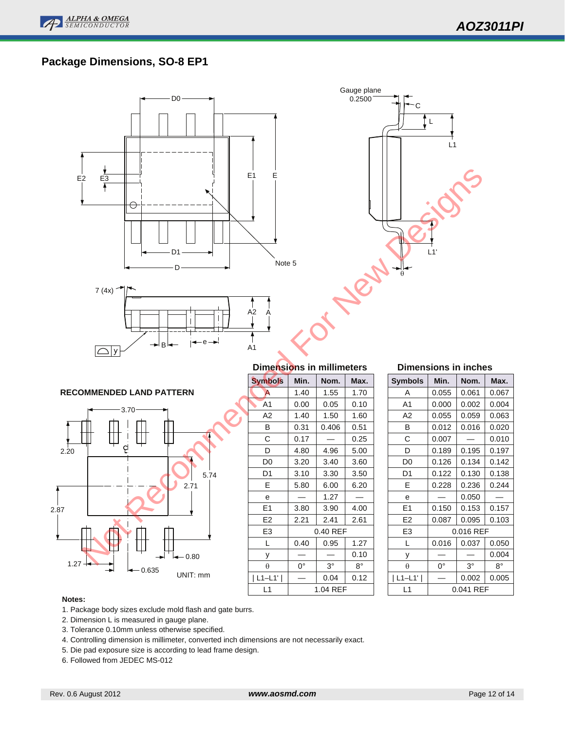

# **Package Dimensions, SO-8 EP1**



#### **Notes:**

- 1. Package body sizes exclude mold flash and gate burrs.
- 2. Dimension L is measured in gauge plane.
- 3. Tolerance 0.10mm unless otherwise specified.
- 4. Controlling dimension is millimeter, converted inch dimensions are not necessarily exact.
- 5. Die pad exposure size is according to lead frame design.
- 6. Followed from JEDEC MS-012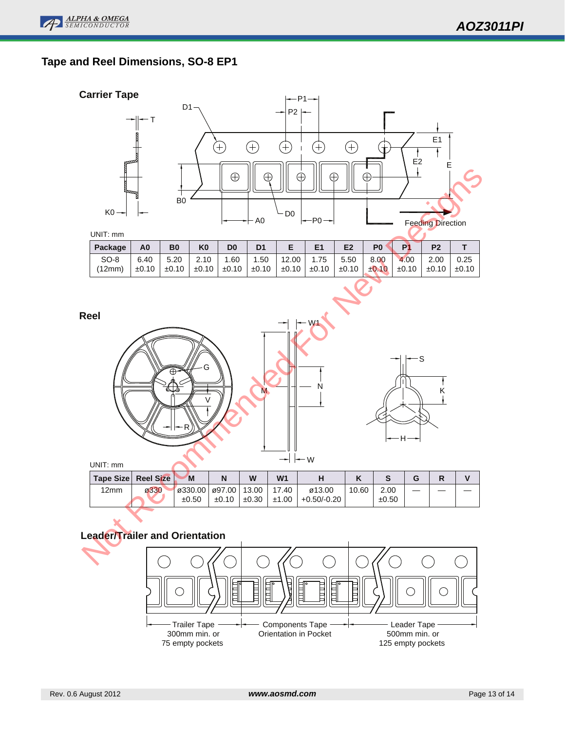# **Tape and Reel Dimensions, SO-8 EP1**